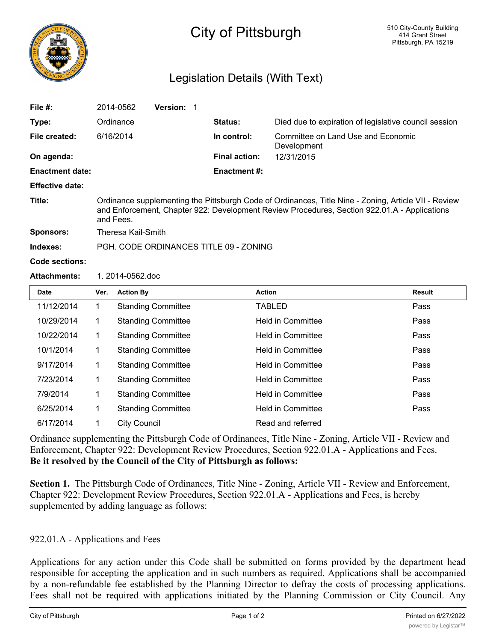

## City of Pittsburgh

## Legislation Details (With Text)

| File #:                |                                                                                                                                                                                                                   | 2014-0562        | Version: 1                |  |                      |                          |                                                       |  |  |
|------------------------|-------------------------------------------------------------------------------------------------------------------------------------------------------------------------------------------------------------------|------------------|---------------------------|--|----------------------|--------------------------|-------------------------------------------------------|--|--|
| Type:                  | Ordinance                                                                                                                                                                                                         |                  |                           |  | <b>Status:</b>       |                          | Died due to expiration of legislative council session |  |  |
| File created:          | 6/16/2014                                                                                                                                                                                                         |                  |                           |  | In control:          | Development              | Committee on Land Use and Economic                    |  |  |
| On agenda:             |                                                                                                                                                                                                                   |                  |                           |  | <b>Final action:</b> | 12/31/2015               |                                                       |  |  |
| <b>Enactment date:</b> |                                                                                                                                                                                                                   |                  |                           |  | <b>Enactment #:</b>  |                          |                                                       |  |  |
| <b>Effective date:</b> |                                                                                                                                                                                                                   |                  |                           |  |                      |                          |                                                       |  |  |
| Title:                 | Ordinance supplementing the Pittsburgh Code of Ordinances, Title Nine - Zoning, Article VII - Review<br>and Enforcement, Chapter 922: Development Review Procedures, Section 922.01.A - Applications<br>and Fees. |                  |                           |  |                      |                          |                                                       |  |  |
| <b>Sponsors:</b>       | <b>Theresa Kail-Smith</b>                                                                                                                                                                                         |                  |                           |  |                      |                          |                                                       |  |  |
| Indexes:               | PGH, CODE ORDINANCES TITLE 09 - ZONING                                                                                                                                                                            |                  |                           |  |                      |                          |                                                       |  |  |
| Code sections:         |                                                                                                                                                                                                                   |                  |                           |  |                      |                          |                                                       |  |  |
| <b>Attachments:</b>    | 1.2014-0562.doc                                                                                                                                                                                                   |                  |                           |  |                      |                          |                                                       |  |  |
| <b>Date</b>            | Ver.                                                                                                                                                                                                              | <b>Action By</b> |                           |  |                      | <b>Action</b>            | <b>Result</b>                                         |  |  |
| 11/12/2014             | 1                                                                                                                                                                                                                 |                  | <b>Standing Committee</b> |  |                      | <b>TABLED</b>            | Pass                                                  |  |  |
| 10/29/2014             | 1                                                                                                                                                                                                                 |                  | <b>Standing Committee</b> |  |                      | <b>Held in Committee</b> | Pass                                                  |  |  |
| 10/22/2014             | $\mathbf 1$                                                                                                                                                                                                       |                  | <b>Standing Committee</b> |  |                      | <b>Held in Committee</b> | Pass                                                  |  |  |
| 10/1/2014              | $\mathbf 1$                                                                                                                                                                                                       |                  | <b>Standing Committee</b> |  |                      | <b>Held in Committee</b> | Pass                                                  |  |  |
| 9/17/2014              | 1                                                                                                                                                                                                                 |                  | <b>Standing Committee</b> |  |                      | <b>Held in Committee</b> | Pass                                                  |  |  |
| 7/23/2014              | 1                                                                                                                                                                                                                 |                  | <b>Standing Committee</b> |  |                      | <b>Held in Committee</b> | Pass                                                  |  |  |
| 7/9/2014               | 1                                                                                                                                                                                                                 |                  | <b>Standing Committee</b> |  |                      | <b>Held in Committee</b> | Pass                                                  |  |  |

Ordinance supplementing the Pittsburgh Code of Ordinances, Title Nine - Zoning, Article VII - Review and Enforcement, Chapter 922: Development Review Procedures, Section 922.01.A - Applications and Fees. **Be it resolved by the Council of the City of Pittsburgh as follows:**

6/25/2014 1 Standing Committee Held in Committee Pass

6/17/2014 1 City Council **Read and referred** 

**Section 1.** The Pittsburgh Code of Ordinances, Title Nine - Zoning, Article VII - Review and Enforcement, Chapter 922: Development Review Procedures, Section 922.01.A - Applications and Fees, is hereby supplemented by adding language as follows:

## 922.01.A - Applications and Fees

Applications for any action under this Code shall be submitted on forms provided by the department head responsible for accepting the application and in such numbers as required. Applications shall be accompanied by a non-refundable fee established by the Planning Director to defray the costs of processing applications. Fees shall not be required with applications initiated by the Planning Commission or City Council. Any